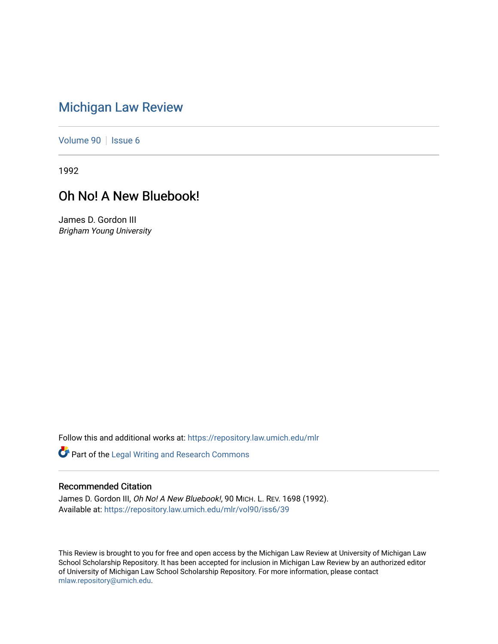# [Michigan Law Review](https://repository.law.umich.edu/mlr)

[Volume 90](https://repository.law.umich.edu/mlr/vol90) | [Issue 6](https://repository.law.umich.edu/mlr/vol90/iss6)

1992

## Oh No! A New Bluebook!

James D. Gordon III Brigham Young University

Follow this and additional works at: [https://repository.law.umich.edu/mlr](https://repository.law.umich.edu/mlr?utm_source=repository.law.umich.edu%2Fmlr%2Fvol90%2Fiss6%2F39&utm_medium=PDF&utm_campaign=PDFCoverPages) 

Part of the [Legal Writing and Research Commons](http://network.bepress.com/hgg/discipline/614?utm_source=repository.law.umich.edu%2Fmlr%2Fvol90%2Fiss6%2F39&utm_medium=PDF&utm_campaign=PDFCoverPages) 

### Recommended Citation

James D. Gordon III, Oh No! A New Bluebook!, 90 MICH. L. REV. 1698 (1992). Available at: [https://repository.law.umich.edu/mlr/vol90/iss6/39](https://repository.law.umich.edu/mlr/vol90/iss6/39?utm_source=repository.law.umich.edu%2Fmlr%2Fvol90%2Fiss6%2F39&utm_medium=PDF&utm_campaign=PDFCoverPages) 

This Review is brought to you for free and open access by the Michigan Law Review at University of Michigan Law School Scholarship Repository. It has been accepted for inclusion in Michigan Law Review by an authorized editor of University of Michigan Law School Scholarship Repository. For more information, please contact [mlaw.repository@umich.edu.](mailto:mlaw.repository@umich.edu)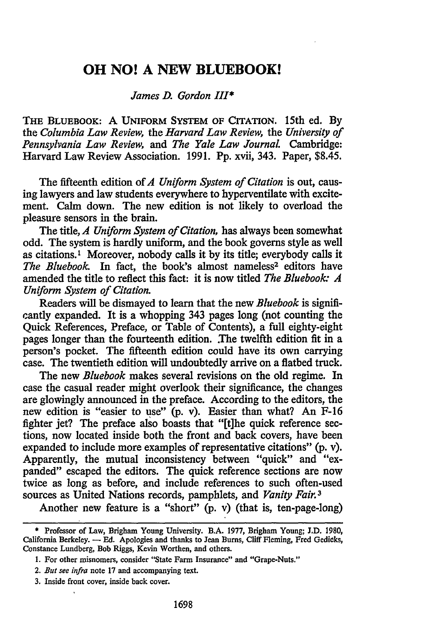### **OH NO! A NEW BLUEBOOK!**

#### James D. Gordon III<sup>\*</sup>

THE BLUEBOOK: A UNIFORM SYSTEM OF CITATION. 15th ed. By the *Columbia Law Review,* the *Harvard Law Review,* the *University of Pennsylvania Law Review,* and *The Yale Law Journal* Cambridge: Harvard Law Review Association. 1991. Pp. xvii, 343. Paper, \$8.45.

The fifteenth edition of *A Uniform System of Citation* is out, causing lawyers and law students everywhere to hyperventilate with excitement. Calm down. The new edition is not likely to overload the pleasure sensors in the brain.

The title, *A Uniform System of Citation,* has always been somewhat odd. The system is hardly uniform, and the book governs style as well as citations.<sup>1</sup> Moreover, nobody calls it by its title; everybody calls it *The Bluebook*. In fact, the book's almost nameless<sup>2</sup> editors have amended the title to reflect this fact: it is now titled *The Bluebook.· A Uniform System of Citation.* 

Readers will be dismayed to learn that the new *Bluebook* is significantly expanded. It is a whopping 343 pages long (not counting the Quick References, Preface, or Table of Contents), a full eighty-eight pages longer than the fourteenth edition. The twelfth edition fit in a person's pocket. The fifteenth edition could have its own carrying case. The twentieth edition will undoubtedly arrive on a flatbed truck.

The new *Bluebook* makes several revisions on the old regime. In case the casual reader might overlook their significance, the changes are glowingly announced in the preface. According to the editors, the new edition is "easier to use" (p. v). Easier than what? An F-16 fighter jet? The preface also boasts that "[t]he quick reference sections, now located inside both the front and back covers, have been expanded to include more examples of representative citations" (p. v). Apparently, the mutual inconsistency between "quick" and "expanded" escaped the editors. The quick reference sections are now twice as long as before, and include references to such often-used sources as United Nations records, pamphlets, and *Vanity Fair.* <sup>3</sup>

Another new feature is a "short" (p. v) (that is, ten-page-long)

<sup>\*</sup> Professor of Law, Brigham Young University. B.A. 1977, Brigham Young; J.D. 1980, California Berkeley. - Ed. Apologies and thanks to Jean Burns, Cliff Fleming, Fred Gedicks, Constance Lundberg, Bob Riggs, Kevin Worthen, and others.

<sup>1.</sup> For other misnomers, consider "State Farm Insurance" and "Grape-Nuts."

<sup>2.</sup> *But see infra* note 17 and accompanying text.

<sup>3.</sup> Inside front cover, inside back cover.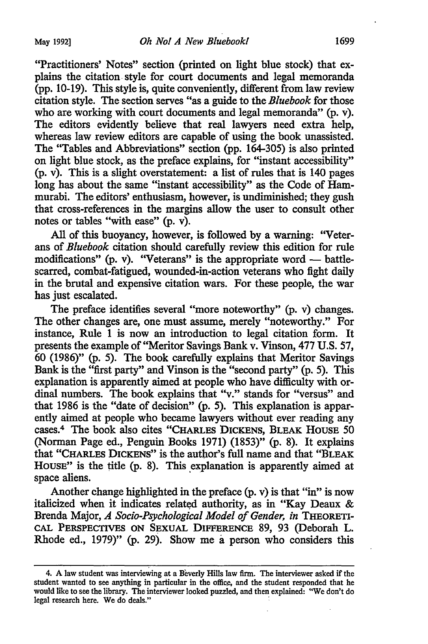"Practitioners' Notes" section (printed on light blue stock) that explains the citation style for court documents and legal memoranda (pp. 10-19). This style is, quite conveniently, different from law review citation style. The section serves "as a guide to the *Bluebook* for those who are working with court documents and legal memoranda" (p. v). The editors evidently believe that real lawyers need extra help, whereas law review editors are capable of using the book unassisted. The "Tables and Abbreviations" section (pp. 164-305) is also printed on light blue stock, as the preface explains, for "instant accessibility" (p. v). This is a slight overstatement: a list of rules that is 140 pages long has about the same "instant accessibility" as the Code of Hammurabi. The editors' enthusiasm, however, is undiminished; they gush that cross-references in the margins allow the user to consult other notes or tables "with ease" (p. v).

All of this buoyancy, however, is followed by a warning: "Veterans of *Bluebook* citation should carefully review this edition for rule modifications" (p. v). "Veterans" is the appropriate word  $-$  battlescarred, combat-fatigued, wounded-in-action veterans who fight daily in the brutal and expensive citation wars. For these people, the war has just escalated.

The preface identifies several "more noteworthy" (p. v) changes. The other changes are, one must assume, merely "noteworthy." For instance, Rule 1 is now an introduction to legal citation form. It presents the example of"Meritor Savings Bank v. Vinson, 477 U.S. 57, 60 (1986)" (p. 5). The book carefully explains that Meritor Savings Bank is the "first party" and Vinson is the "second party" (p. 5). This explanation is apparently aimed at people who have difficulty with ordinal numbers. The book explains that "v." stands for "versus" and that 1986 is the "date of decision" (p. 5). This explanation is apparently aimed at people who became lawyers without ever reading any cases.4 The book also cites "CHARLES DICKENS, BLEAK HOUSE 50 (Norman Page ed., Penguin Books 1971) (1853)" (p. 8). It explains that "CHARLES DICKENS" is the author's full name and that "BLEAK HousE" is the title (p. 8). This explanation is apparently aimed at space aliens.

Another change highlighted in the preface  $(p, v)$  is that "in" is now italicized when it indicates related authority, as in "Kay Deaux & Brenda Major, *A Socio-Psychological Model of Gender, in* THEORETI-CAL PERSPECTIVES ON SEXUAL DIFFERENCE 89, 93 (Deborah L. Rhode ed., 1979)" (p. 29). Show me a person who considers this

<sup>4.</sup> A law student was interviewing at a Beverly Hills law firm. The interviewer asked if the student wanted to see anything in particular in the office, and the student responded that he would like to see the library. The interviewer looked puzzled, and then explained: "We don't do legal research here. We do deals."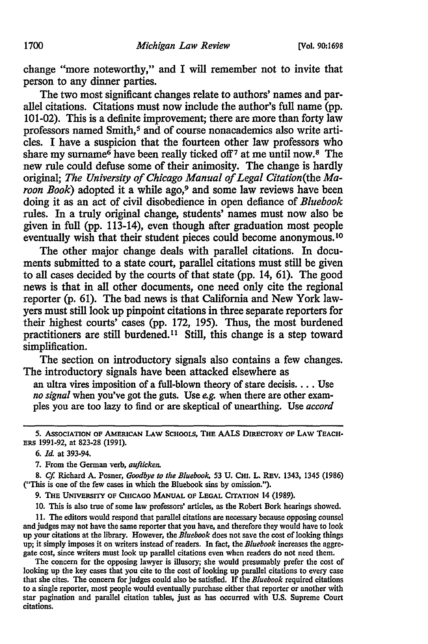change "more noteworthy," and I will remember not to invite that person to any dinner parties.

The two most significant changes relate to authors' names and parallel citations. Citations must now include the author's full name (pp. 101-02). This is a definite improvement; there are more than forty law professors named Smith,<sup>5</sup> and of course nonacademics also write articles. I have a suspicion that the fourteen other law professors who share my surname<sup>6</sup> have been really ticked off<sup>7</sup> at me until now.<sup>8</sup> The new rule could defuse some of their animosity. The change is hardly original; *The University of Chicago Manual of Legal Citation(* the *Maroon Book*) adopted it a while ago,<sup>9</sup> and some law reviews have been doing it as an act of civil disobedience in open defiance of *Bluebook*  rules. In a truly original change, students' names must now also be given in full (pp. 113-14), even though after graduation most people eventually wish that their student pieces could become anonymous. <sup>10</sup>

The other major change deals with parallel citations. In documents submitted to a state court, parallel citations must still be given to all cases decided by the courts of that state (pp. 14, 61). The good news is that in all other documents, one need only cite the regional reporter (p. 61). The bad news is that California and New York lawyers must still look up pinpoint citations in three separate reporters for their highest courts' cases (pp. 172, 195). Thus, the most burdened practitioners are still burdened.<sup>11</sup> Still, this change is a step toward simplification.

The section on introductory signals also contains a few changes. The introductory signals have been attacked elsewhere as

an ultra vires imposition of a full-blown theory of stare decisis .... Use *no signal* when you've got the guts. Use *e.g.* when there are other examples you are too lazy to find or are skeptical of unearthing. Use *accord* 

8. *Cf* Richard A. Posner, *Goodbye to the Bluebook,* 53 U. CHI. L. REv. 1343, 1345 (1986) ("This is one of the few cases in which the Bluebook sins by omission.").

9. THE UNIVERSITY OF CHICAGO MANuAL OF LEGAL CITATION 14 (1989).

10. This is also true of some law professors' articles, as the Robert Bork hearings showed.

11. The editors would respond that parallel citations are necessary because opposing counsel and judges may not have the same reporter that you have, and therefore they would have to look up your citations at the library. However, the *Bluebook* does not save the cost of looking things up; it simply imposes it on writers instead of readers. In fact, the *Bluebook* increases the aggregate cost, since writers must look up parallel citations even when readers do not need them.

The concern for the opposing lawyer is illusory; she would presumably prefer the cost of looking up the key cases that you cite to the cost of looking up parallel citations to every case that she cites. The concern for judges could also be satisfied. If the *Bluebook* required citations to a single reporter, most people would eventually purchase either that reporter or another with star pagination and parallel citation tables, just as has occurred with U.S. Supreme Court citations.

<sup>5.</sup> Association of American Law Schools, The AALS Directory of Law Teach-ERS 1991-92, at 823-28 (1991).

<sup>6.</sup> *Id.* at 393-94.

<sup>7.</sup> From the German verb, *aufticken.*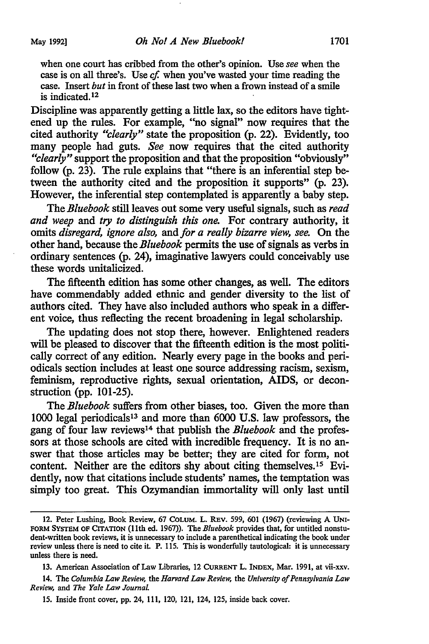when one court has cribbed from the other's opinion. Use *see* when the case is on all three's. Use *cf.* when you've wasted your time reading the case. Insert *but* in front of these last two when a frown instead of a smile is indicated. <sup>12</sup>

Discipline was apparently getting a little lax, so the editors have tightened up the rules. For example, ''no signal" now requires that the cited authority *"clearly"* state the proposition (p. 22). Evidently, too many people had guts. *See* now requires that the cited authority *"clearly"* support the proposition and that the proposition "obviously" follow (p. 23). The rule explains that "there is an inferential step between the authority cited and the proposition it supports" (p. 23). However, the inferential step contemplated is apparently a baby step.

The *Bluebook* still leaves out some very useful signals, such as *read and weep* and *try to distinguish this one.* For contrary authority, it omits *disregard, ignore also,* and *for a really bizarre view, see.* On the other hand, because the *Bluebook* permits the use of signals as verbs in ordinary sentences (p. 24), imaginative lawyers could conceivably use these words unitalicized.

The fifteenth edition has some other changes, as well. The editors have commendably added ethnic and gender diversity to the list of authors cited. They have also included authors who speak in a different voice, thus reflecting the recent broadening in legal scholarship.

The updating does not stop there, however. Enlightened readers will be pleased to discover that the fifteenth edition is the most politically correct of any edition. Nearly every page in the books and periodicals section includes at least one source addressing racism, sexism, feminism, reproductive rights, sexual orientation, AIDS, or deconstruction (pp. 101-25).

The *Bluebook* suffers from other biases, too. Given the more than 1000 legal periodicals13 and more than 6000 U.S. law professors, the gang of four law reviews14 that publish the *Bluebook* and the professors at those schools are cited with incredible frequency. It is no answer that those articles may be better; they are cited for form, not content. Neither are the editors shy about citing themselves.<sup>15</sup> Evidently, now that citations include students' names, the temptation was simply too great. This Ozymandian immortality will only last until

13. American Association of Law Libraries, 12 CuRRENT L. INDEX, Mar. 1991, at vii-xxv.

14. The *Columbia Law Review,* the *Harvard Law Review,* the *University of Pennsylvania Law Review,* and *The Yale Law Journal* 

15. Inside front cover, pp. 24, 111, 120, 121, 124, 125, inside back cover.

<sup>12.</sup> Peter Lushing, Book Review, 67 CoLUM. L. REV. 599, 601 (1967) (reviewing A UNI-FORM SYSTEM OF CITATION (11th ed. 1967)). The *Bluebook* provides that, for untitled nonstudent-written book reviews, it is unnecessary to include a parenthetical indicating the book under review unless there is need to cite it. P. 115. This is wonderfully tautological: it is unnecessary unless there is need.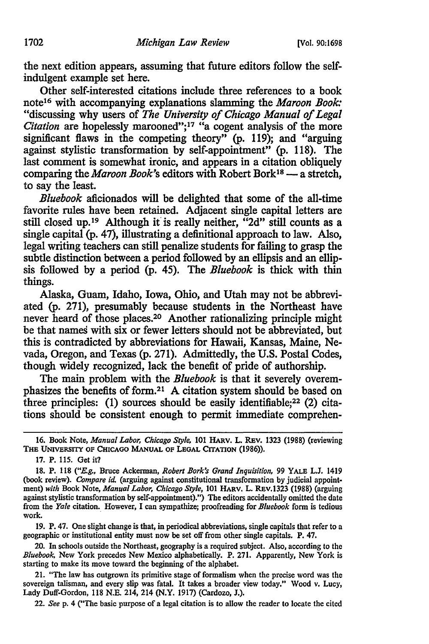the next edition appears, assuming that future editors follow the selfindulgent example set here.

Other self-interested citations include three references to a book note16 with accompanying explanations slamming the *Maroon Book:*  "discussing why users of *The University of Chicago Manual of Legal Citation* are hopelessly marooned";17 "a cogent analysis of the more significant flaws in the competing theory" (p. 119); and "arguing against stylistic transformation by self-appointment" (p. 118). The last comment is somewhat ironic, and appears in a citation obliquely comparing the *Maroon Book's* editors with Robert Bork<sup>18</sup> - a stretch, to say the least.

*Bluebook* aficionados will be delighted that some of the all-time favorite rules have been retained. Adjacent single capital letters are still closed up.<sup>19</sup> Although it is really neither, "2d" still counts as a single capital (p. 47), illustrating a definitional approach to law. Also, legal writing teachers can still penalize students for failing to grasp the subtle distinction between a period followed by an ellipsis and an ellipsis followed by a period (p. 45). The *Bluebook* is thick with thin things.

Alaska, Guam, Idaho, Iowa, Ohio, and Utah may not be abbreviated (p. 271), presumably because students in the Northeast have never heard of those places.<sup>20</sup> Another rationalizing principle might be that names with six or fewer letters should not be abbreviated, but this is contradicted by abbreviations for Hawaii, Kansas, Maine, Nevada, Oregon, and Texas (p. 271). Admittedly, the U.S. Postal Codes, though widely recognized, lack the benefit of pride of authorship.

The main problem with the *Bluebook* is that it severely overemphasizes the benefits of form. 21 A citation system should be based on three principles: (1) sources should be easily identifiable;<sup>22</sup> (2) citations should be consistent enough to permit immediate comprehen-

19. P. 47. One slight change is that, in periodical abbreviations, single capitals that refer to a geographic or institutional entity must now be set olffrom other single capitals. P. 47.

20. In schools outside the Northeast, geography is a required subject. Also, according to the *Bluebook.* New York precedes New Mexico alphabetically. P. 271. Apparently, New York is starting to make its move toward the beginning of the alphabet.

21. "The law has outgrown its primitive stage of formalism when the precise word was the sovereign talisman, and every slip was fatal. It takes a broader view today." Wood v. Lucy, Lady Duff-Gordon, 118 N.E. 214, 214 (N.Y. 1917) (Cardozo, J.).

22. *See* p. 4 ("The basic purpose of a legal citation is to allow the reader to locate the cited

<sup>16.</sup> Book Note, *Manual Labor, Chicago Style,* 101 HARV. L. REV. 1323 (1988) (reviewing THE UNIVERSITY OF CHICAGO MANUAL OF LEGAL CITATION (1986)),

<sup>17.</sup> P. 115. Get it?

<sup>18.</sup> P. 118 *("E.g.,* Bruce Ackerman, *Robert Bork's Grand Inquisition,* 99 YALE L.J. 1419 (book review). *Compare id.* (arguing against constitutional transformation by judicial appointment) *with* Book Note, *Manual Labor, Chicago Style,* 101 HARV. L. REv.1323 (1988) (arguing against stylistic transformation by self-appointment).") The editors accidentally omitted the date from the *Yale* citation. However, I can sympathize; proofreading for *Bluebook* form is tedious work.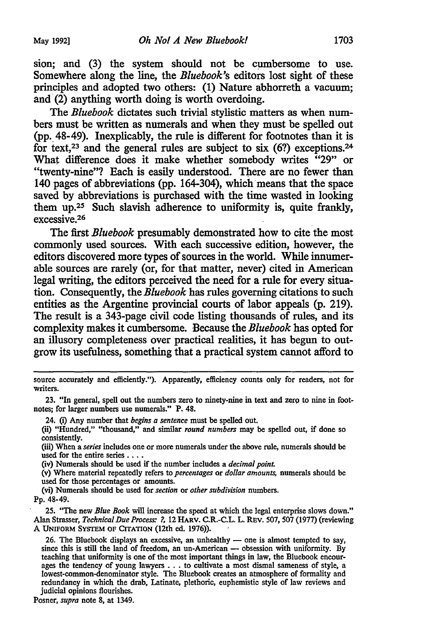sion; and (3) the system should not be cumbersome to use. Somewhere along the line, the *Bluebook's* editors lost sight of these principles and adopted two others: (1) Nature abhorreth a vacuum; and (2) anything worth doing is worth overdoing.

The *Bluebook* dictates such trivial stylistic matters as when numbers must be written as numerals and when they must be spelled out (pp.\_ 48-49). Inexplicably, the rule is different for footnotes than it is for text,<sup>23</sup> and the general rules are subject to six  $(6)$  exceptions.<sup>24</sup> What difference does it make whether somebody writes "29" or "twenty-nine"? Each is easily understood. There are no fewer than 140 pages of abbreviations (pp. 164-304), which means that the space saved by abbreviations is purchased with the time wasted in looking them up.25 Such slavish adherence to uniformity is, quite frankly, excessive.26

The first *Bluebook* presumably demonstrated how to cite the most commonly used sources. With each successive edition, however, the editors discovered more types of sources in the world. While innumerable sources are rarely (or, for that matter, never) cited in American legal writing, the editors perceived the need for a rule for every situation. Consequently, the *Bluebook* has rules governing citations to such entities as the Argentine provincial courts of labor appeals (p. 219). The result is a 343-page civil code listing thousands of rules, and its complexity makes it cumbersome. Because the *Bluebook* has opted for an illusory completeness over practical realities, it has begun to outgrow its usefulness, something that a practical system cannot afford to

- 24. (i) Any number that *begins a sentence* must be spelled out.
- (ii) "Hundred," "thousand," and similar *round numbers* may be spelled out, if done so consistently.
- (iii) When a *series* includes one or more numerals under the above rule, numerals should be used for the entire series . . . •
- (iv) Numerals should be used if the number includes a *decimal point.*

(v) Where material repeatedly refers to *percentages* or *dollar amounts,* numerals should be used for those percentages or amounts.

(vi) Numerals should be used for *section* or *other subdivision* numbers. Pp. 48-49.

25. ''The new *Blue Book* will increase the speed at which the legal enterprise slows down." Alan Strasser, *Technical Due Process: ?,* 12 HARV. C.R.-C.L. L. REv. 507, 507 (1977) (reviewing A UNIFORM SYSTEM OF CITATION (12th ed. 1976)).

26. The Bluebook displays an excessive, an unhealthy - one is almost tempted to say, since this is still the land of freedom, an un-American - obsession with uniformity. By teaching that uniformity is one of the most important things in law, the Bluebook encourages the tendency of young lawyers . . . to cultivate a most dismal sameness of style, a lowest-common-denominator style. The Bluebook creates an atmosphere of formality and redundancy in which the drab, Latinate, plethoric, euphemistic style of law reviews and judicial opinions flourishes.

Posner, *supra* note 8, at 1349.

source accurately and efficiently."). Apparently, efficiency counts only for readers, not for writers.

<sup>23. &</sup>quot;In general, spell out the numbers zero to ninety-nine in text and zero to nine in footnotes; for larger numbers use numerals." P. 48.